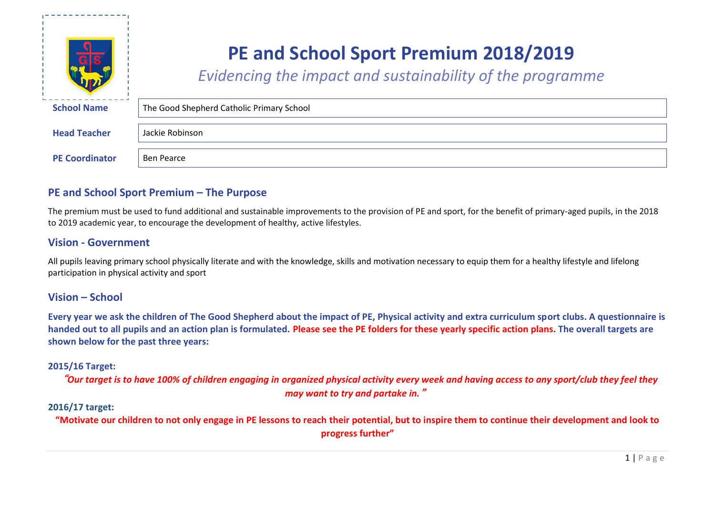

# **PE and School Sport Premium 2018/2019**

*Evidencing the impact and sustainability of the programme*

| <b>School Name</b>    | The Good Shepherd Catholic Primary School |
|-----------------------|-------------------------------------------|
| <b>Head Teacher</b>   | Jackie Robinson                           |
| <b>PE Coordinator</b> | Ben Pearce                                |

# **PE and School Sport Premium – The Purpose**

The premium must be used to fund additional and sustainable improvements to the provision of PE and sport, for the benefit of primary-aged pupils, in the 2018 to 2019 academic year, to encourage the development of healthy, active lifestyles.

# **Vision - Government**

All pupils leaving primary school physically literate and with the knowledge, skills and motivation necessary to equip them for a healthy lifestyle and lifelong participation in physical activity and sport

## **Vision – School**

**Every year we ask the children of The Good Shepherd about the impact of PE, Physical activity and extra curriculum sport clubs. A questionnaire is handed out to all pupils and an action plan is formulated. Please see the PE folders for these yearly specific action plans. The overall targets are shown below for the past three years:**

### **2015/16 Target:**

"*Our target is to have 100% of children engaging in organized physical activity every week and having access to any sport/club they feel they may want to try and partake in.*"

### **2016/17 target:**

**"Motivate our children to not only engage in PE lessons to reach their potential, but to inspire them to continue their development and look to progress further"**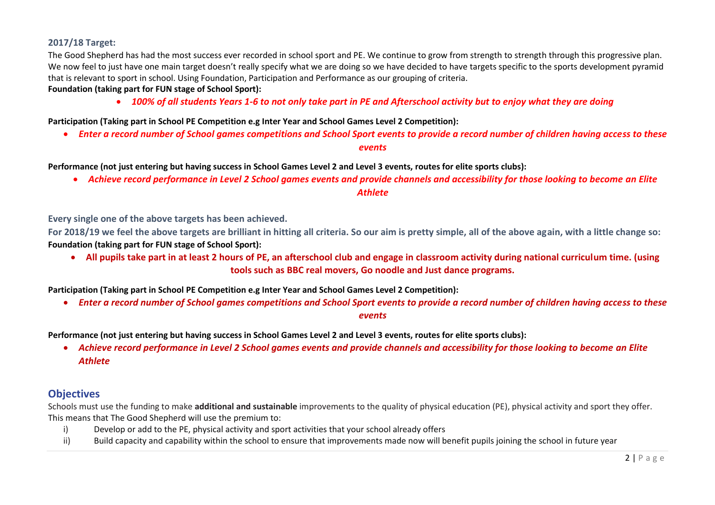### **2017/18 Target:**

The Good Shepherd has had the most success ever recorded in school sport and PE. We continue to grow from strength to strength through this progressive plan. We now feel to just have one main target doesn't really specify what we are doing so we have decided to have targets specific to the sports development pyramid that is relevant to sport in school. Using Foundation, Participation and Performance as our grouping of criteria.

### **Foundation (taking part for FUN stage of School Sport):**

*100% of all students Years 1-6 to not only take part in PE and Afterschool activity but to enjoy what they are doing*

**Participation (Taking part in School PE Competition e.g Inter Year and School Games Level 2 Competition):**

*Enter a record number of School games competitions and School Sport events to provide a record number of children having access to these* 

#### *events*

**Performance (not just entering but having success in School Games Level 2 and Level 3 events, routes for elite sports clubs):**

*Achieve record performance in Level 2 School games events and provide channels and accessibility for those looking to become an Elite* 

#### *Athlete*

**Every single one of the above targets has been achieved.** 

**For 2018/19 we feel the above targets are brilliant in hitting all criteria. So our aim is pretty simple, all of the above again, with a little change so: Foundation (taking part for FUN stage of School Sport):**

 **All pupils take part in at least 2 hours of PE, an afterschool club and engage in classroom activity during national curriculum time. (using tools such as BBC real movers, Go noodle and Just dance programs.**

**Participation (Taking part in School PE Competition e.g Inter Year and School Games Level 2 Competition):**

*Enter a record number of School games competitions and School Sport events to provide a record number of children having access to these* 

#### *events*

**Performance (not just entering but having success in School Games Level 2 and Level 3 events, routes for elite sports clubs):**

 *Achieve record performance in Level 2 School games events and provide channels and accessibility for those looking to become an Elite Athlete*

# **Objectives**

Schools must use the funding to make **additional and sustainable** improvements to the quality of physical education (PE), physical activity and sport they offer. This means that The Good Shepherd will use the premium to:

- i) Develop or add to the PE, physical activity and sport activities that your school already offers
- ii) Build capacity and capability within the school to ensure that improvements made now will benefit pupils joining the school in future year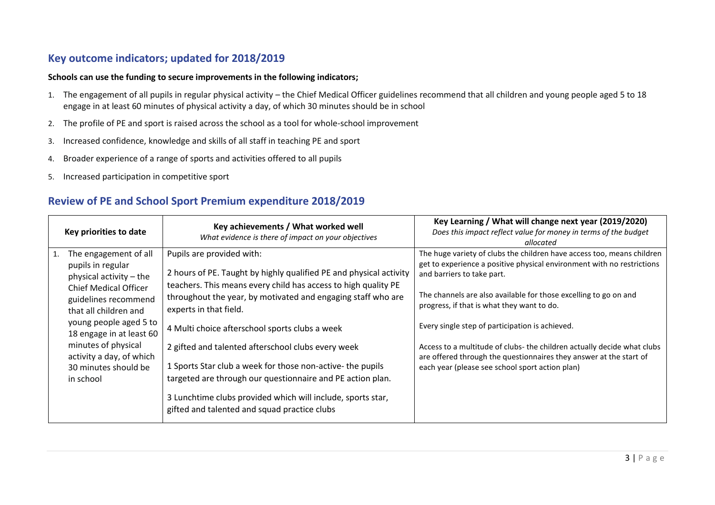# **Key outcome indicators; updated for 2018/2019**

#### **Schools can use the funding to secure improvements in the following indicators;**

- 1. The engagement of all pupils in regular physical activity the Chief Medical Officer guidelines recommend that all children and young people aged 5 to 18 engage in at least 60 minutes of physical activity a day, of which 30 minutes should be in school
- 2. The profile of PE and sport is raised across the school as a tool for whole-school improvement
- 3. Increased confidence, knowledge and skills of all staff in teaching PE and sport
- 4. Broader experience of a range of sports and activities offered to all pupils
- 5. Increased participation in competitive sport

# **Review of PE and School Sport Premium expenditure 2018/2019**

| Key priorities to date                                                                                                                                                                                                                                                                               | Key achievements / What worked well<br>What evidence is there of impact on your objectives                                                                                                                                                                                                                                                                                                                                                                                                                                                                                                                     | Key Learning / What will change next year (2019/2020)<br>Does this impact reflect value for money in terms of the budget<br>allocated                                                                                                                                                                                                                                                                                                                                                                                                                   |  |
|------------------------------------------------------------------------------------------------------------------------------------------------------------------------------------------------------------------------------------------------------------------------------------------------------|----------------------------------------------------------------------------------------------------------------------------------------------------------------------------------------------------------------------------------------------------------------------------------------------------------------------------------------------------------------------------------------------------------------------------------------------------------------------------------------------------------------------------------------------------------------------------------------------------------------|---------------------------------------------------------------------------------------------------------------------------------------------------------------------------------------------------------------------------------------------------------------------------------------------------------------------------------------------------------------------------------------------------------------------------------------------------------------------------------------------------------------------------------------------------------|--|
| The engagement of all<br>pupils in regular<br>physical activity – the<br><b>Chief Medical Officer</b><br>guidelines recommend<br>that all children and<br>young people aged 5 to<br>18 engage in at least 60<br>minutes of physical<br>activity a day, of which<br>30 minutes should be<br>in school | Pupils are provided with:<br>2 hours of PE. Taught by highly qualified PE and physical activity<br>teachers. This means every child has access to high quality PE<br>throughout the year, by motivated and engaging staff who are<br>experts in that field.<br>4 Multi choice afterschool sports clubs a week<br>2 gifted and talented afterschool clubs every week<br>1 Sports Star club a week for those non-active- the pupils<br>targeted are through our questionnaire and PE action plan.<br>3 Lunchtime clubs provided which will include, sports star,<br>gifted and talented and squad practice clubs | The huge variety of clubs the children have access too, means children<br>get to experience a positive physical environment with no restrictions<br>and barriers to take part.<br>The channels are also available for those excelling to go on and<br>progress, if that is what they want to do.<br>Every single step of participation is achieved.<br>Access to a multitude of clubs- the children actually decide what clubs<br>are offered through the questionnaires they answer at the start of<br>each year (please see school sport action plan) |  |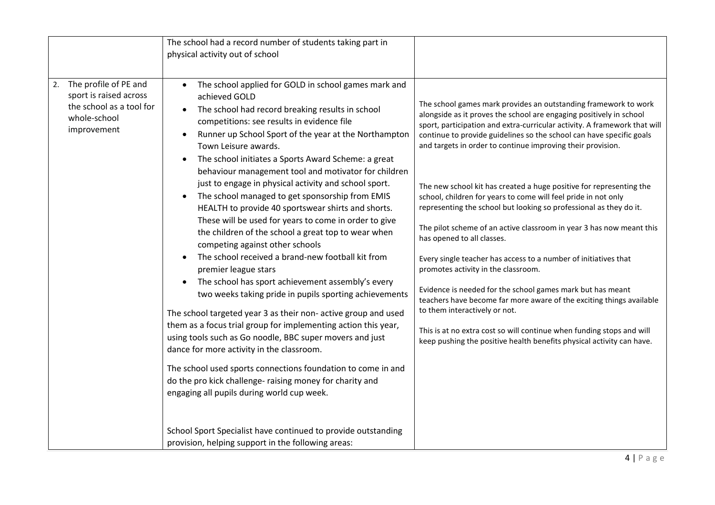|                                                                                                                  | The school had a record number of students taking part in<br>physical activity out of school                                                                                                                                                                                                                                                                                                                                                                                                                                                                                                                                                                                                                                                                                                                                                                                                                                                                                                                                                                                                                                                                                                                                                              |                                                                                                                                                                                                                                                                                                                                                                                                                                                                                                                                                                                                                                                   |
|------------------------------------------------------------------------------------------------------------------|-----------------------------------------------------------------------------------------------------------------------------------------------------------------------------------------------------------------------------------------------------------------------------------------------------------------------------------------------------------------------------------------------------------------------------------------------------------------------------------------------------------------------------------------------------------------------------------------------------------------------------------------------------------------------------------------------------------------------------------------------------------------------------------------------------------------------------------------------------------------------------------------------------------------------------------------------------------------------------------------------------------------------------------------------------------------------------------------------------------------------------------------------------------------------------------------------------------------------------------------------------------|---------------------------------------------------------------------------------------------------------------------------------------------------------------------------------------------------------------------------------------------------------------------------------------------------------------------------------------------------------------------------------------------------------------------------------------------------------------------------------------------------------------------------------------------------------------------------------------------------------------------------------------------------|
| The profile of PE and<br>2.<br>sport is raised across<br>the school as a tool for<br>whole-school<br>improvement | The school applied for GOLD in school games mark and<br>$\bullet$<br>achieved GOLD<br>The school had record breaking results in school<br>$\bullet$<br>competitions: see results in evidence file<br>Runner up School Sport of the year at the Northampton<br>$\bullet$<br>Town Leisure awards.<br>The school initiates a Sports Award Scheme: a great<br>behaviour management tool and motivator for children<br>just to engage in physical activity and school sport.<br>The school managed to get sponsorship from EMIS<br>HEALTH to provide 40 sportswear shirts and shorts.<br>These will be used for years to come in order to give<br>the children of the school a great top to wear when<br>competing against other schools<br>The school received a brand-new football kit from<br>premier league stars<br>The school has sport achievement assembly's every<br>$\bullet$<br>two weeks taking pride in pupils sporting achievements<br>The school targeted year 3 as their non- active group and used<br>them as a focus trial group for implementing action this year,<br>using tools such as Go noodle, BBC super movers and just<br>dance for more activity in the classroom.<br>The school used sports connections foundation to come in and | The school games mark provides an outstanding framework to work<br>alongside as it proves the school are engaging positively in school<br>sport, participation and extra-curricular activity. A framework that will<br>continue to provide guidelines so the school can have specific goals<br>and targets in order to continue improving their provision.<br>The new school kit has created a huge positive for representing the<br>school, children for years to come will feel pride in not only<br>representing the school but looking so professional as they do it.<br>The pilot scheme of an active classroom in year 3 has now meant this |
|                                                                                                                  |                                                                                                                                                                                                                                                                                                                                                                                                                                                                                                                                                                                                                                                                                                                                                                                                                                                                                                                                                                                                                                                                                                                                                                                                                                                           | has opened to all classes.<br>Every single teacher has access to a number of initiatives that<br>promotes activity in the classroom.<br>Evidence is needed for the school games mark but has meant<br>teachers have become far more aware of the exciting things available<br>to them interactively or not.<br>This is at no extra cost so will continue when funding stops and will<br>keep pushing the positive health benefits physical activity can have.                                                                                                                                                                                     |
|                                                                                                                  | do the pro kick challenge- raising money for charity and<br>engaging all pupils during world cup week.<br>School Sport Specialist have continued to provide outstanding<br>provision, helping support in the following areas:                                                                                                                                                                                                                                                                                                                                                                                                                                                                                                                                                                                                                                                                                                                                                                                                                                                                                                                                                                                                                             |                                                                                                                                                                                                                                                                                                                                                                                                                                                                                                                                                                                                                                                   |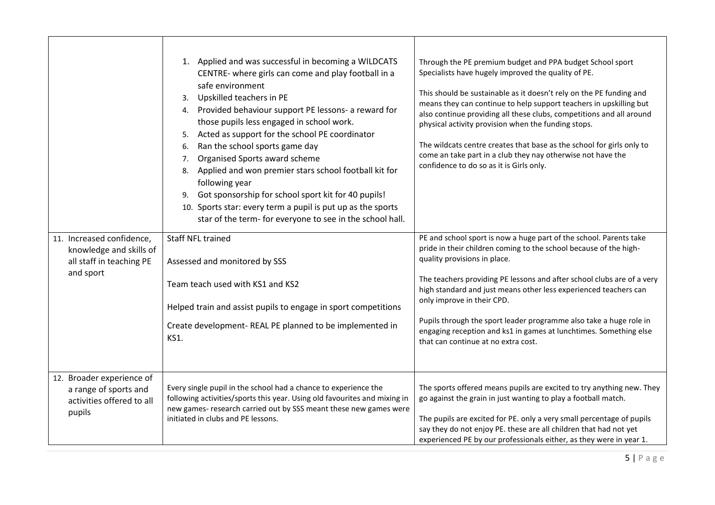|                                                                                               | 1. Applied and was successful in becoming a WILDCATS<br>CENTRE- where girls can come and play football in a<br>safe environment<br>Upskilled teachers in PE<br>3.<br>4. Provided behaviour support PE lessons- a reward for<br>those pupils less engaged in school work.<br>Acted as support for the school PE coordinator<br>5.<br>Ran the school sports game day<br>6.<br>Organised Sports award scheme<br>7.<br>Applied and won premier stars school football kit for<br>8.<br>following year<br>9. Got sponsorship for school sport kit for 40 pupils!<br>10. Sports star: every term a pupil is put up as the sports<br>star of the term- for everyone to see in the school hall. | Through the PE premium budget and PPA budget School sport<br>Specialists have hugely improved the quality of PE.<br>This should be sustainable as it doesn't rely on the PE funding and<br>means they can continue to help support teachers in upskilling but<br>also continue providing all these clubs, competitions and all around<br>physical activity provision when the funding stops.<br>The wildcats centre creates that base as the school for girls only to<br>come an take part in a club they nay otherwise not have the<br>confidence to do so as it is Girls only. |
|-----------------------------------------------------------------------------------------------|----------------------------------------------------------------------------------------------------------------------------------------------------------------------------------------------------------------------------------------------------------------------------------------------------------------------------------------------------------------------------------------------------------------------------------------------------------------------------------------------------------------------------------------------------------------------------------------------------------------------------------------------------------------------------------------|----------------------------------------------------------------------------------------------------------------------------------------------------------------------------------------------------------------------------------------------------------------------------------------------------------------------------------------------------------------------------------------------------------------------------------------------------------------------------------------------------------------------------------------------------------------------------------|
| 11. Increased confidence,<br>knowledge and skills of<br>all staff in teaching PE<br>and sport | <b>Staff NFL trained</b><br>Assessed and monitored by SSS<br>Team teach used with KS1 and KS2<br>Helped train and assist pupils to engage in sport competitions<br>Create development- REAL PE planned to be implemented in<br><b>KS1.</b>                                                                                                                                                                                                                                                                                                                                                                                                                                             | PE and school sport is now a huge part of the school. Parents take<br>pride in their children coming to the school because of the high-<br>quality provisions in place.<br>The teachers providing PE lessons and after school clubs are of a very<br>high standard and just means other less experienced teachers can<br>only improve in their CPD.<br>Pupils through the sport leader programme also take a huge role in<br>engaging reception and ks1 in games at lunchtimes. Something else<br>that can continue at no extra cost.                                            |
| 12. Broader experience of<br>a range of sports and<br>activities offered to all<br>pupils     | Every single pupil in the school had a chance to experience the<br>following activities/sports this year. Using old favourites and mixing in<br>new games- research carried out by SSS meant these new games were<br>initiated in clubs and PE lessons.                                                                                                                                                                                                                                                                                                                                                                                                                                | The sports offered means pupils are excited to try anything new. They<br>go against the grain in just wanting to play a football match.<br>The pupils are excited for PE. only a very small percentage of pupils<br>say they do not enjoy PE. these are all children that had not yet<br>experienced PE by our professionals either, as they were in year 1.                                                                                                                                                                                                                     |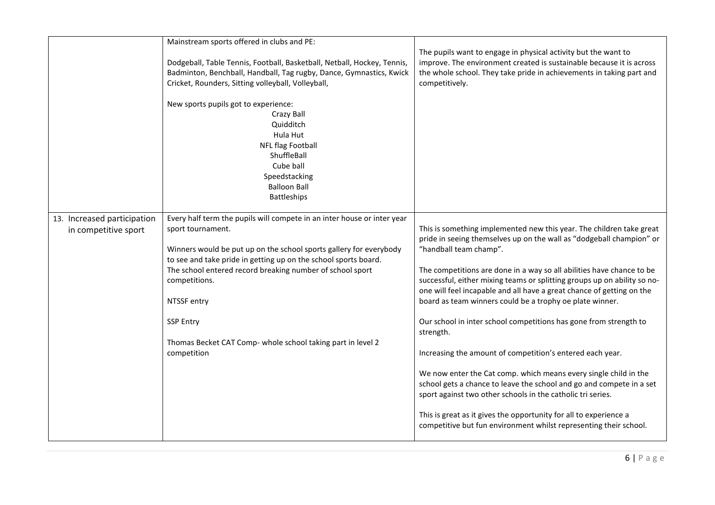|                                                     | Mainstream sports offered in clubs and PE:                                                                                                                                                                                                                                                                                                                                                                                           |                                                                                                                                                                                                                                                                                                                                                                                                                                                                                                                                                                                                                                                                                                                                                                                                                                                                                                                                                                      |
|-----------------------------------------------------|--------------------------------------------------------------------------------------------------------------------------------------------------------------------------------------------------------------------------------------------------------------------------------------------------------------------------------------------------------------------------------------------------------------------------------------|----------------------------------------------------------------------------------------------------------------------------------------------------------------------------------------------------------------------------------------------------------------------------------------------------------------------------------------------------------------------------------------------------------------------------------------------------------------------------------------------------------------------------------------------------------------------------------------------------------------------------------------------------------------------------------------------------------------------------------------------------------------------------------------------------------------------------------------------------------------------------------------------------------------------------------------------------------------------|
|                                                     | Dodgeball, Table Tennis, Football, Basketball, Netball, Hockey, Tennis,<br>Badminton, Benchball, Handball, Tag rugby, Dance, Gymnastics, Kwick<br>Cricket, Rounders, Sitting volleyball, Volleyball,                                                                                                                                                                                                                                 | The pupils want to engage in physical activity but the want to<br>improve. The environment created is sustainable because it is across<br>the whole school. They take pride in achievements in taking part and<br>competitively.                                                                                                                                                                                                                                                                                                                                                                                                                                                                                                                                                                                                                                                                                                                                     |
|                                                     | New sports pupils got to experience:<br>Crazy Ball<br>Quidditch<br>Hula Hut<br>NFL flag Football<br>ShuffleBall<br>Cube ball<br>Speedstacking<br><b>Balloon Ball</b><br><b>Battleships</b>                                                                                                                                                                                                                                           |                                                                                                                                                                                                                                                                                                                                                                                                                                                                                                                                                                                                                                                                                                                                                                                                                                                                                                                                                                      |
| 13. Increased participation<br>in competitive sport | Every half term the pupils will compete in an inter house or inter year<br>sport tournament.<br>Winners would be put up on the school sports gallery for everybody<br>to see and take pride in getting up on the school sports board.<br>The school entered record breaking number of school sport<br>competitions.<br>NTSSF entry<br><b>SSP Entry</b><br>Thomas Becket CAT Comp- whole school taking part in level 2<br>competition | This is something implemented new this year. The children take great<br>pride in seeing themselves up on the wall as "dodgeball champion" or<br>"handball team champ".<br>The competitions are done in a way so all abilities have chance to be<br>successful, either mixing teams or splitting groups up on ability so no-<br>one will feel incapable and all have a great chance of getting on the<br>board as team winners could be a trophy oe plate winner.<br>Our school in inter school competitions has gone from strength to<br>strength.<br>Increasing the amount of competition's entered each year.<br>We now enter the Cat comp. which means every single child in the<br>school gets a chance to leave the school and go and compete in a set<br>sport against two other schools in the catholic tri series.<br>This is great as it gives the opportunity for all to experience a<br>competitive but fun environment whilst representing their school. |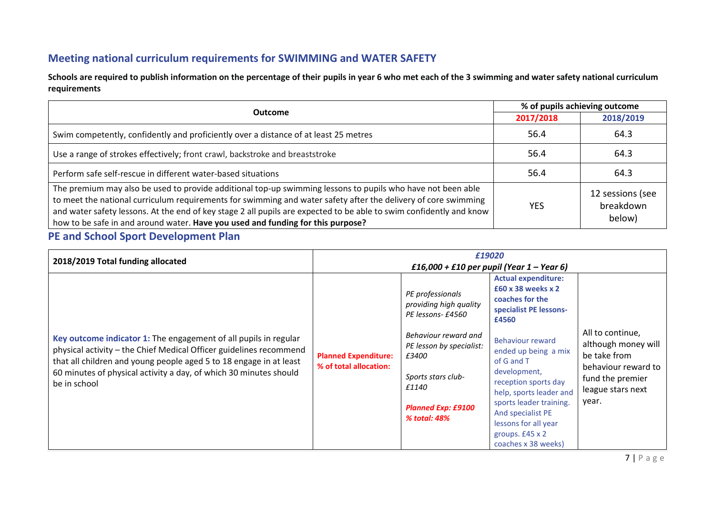# **Meeting national curriculum requirements for SWIMMING and WATER SAFETY**

**Schools are required to publish information on the percentage of their pupils in year 6 who met each of the 3 swimming and water safety national curriculum requirements**

| Outcome                                                                                                                                                                                                                                                                                                                                                                                                                                 | % of pupils achieving outcome |                                         |  |
|-----------------------------------------------------------------------------------------------------------------------------------------------------------------------------------------------------------------------------------------------------------------------------------------------------------------------------------------------------------------------------------------------------------------------------------------|-------------------------------|-----------------------------------------|--|
|                                                                                                                                                                                                                                                                                                                                                                                                                                         | 2017/2018                     | 2018/2019                               |  |
| Swim competently, confidently and proficiently over a distance of at least 25 metres                                                                                                                                                                                                                                                                                                                                                    | 56.4                          | 64.3                                    |  |
| Use a range of strokes effectively; front crawl, backstroke and breaststroke                                                                                                                                                                                                                                                                                                                                                            | 56.4                          | 64.3                                    |  |
| Perform safe self-rescue in different water-based situations                                                                                                                                                                                                                                                                                                                                                                            | 56.4                          | 64.3                                    |  |
| The premium may also be used to provide additional top-up swimming lessons to pupils who have not been able<br>to meet the national curriculum requirements for swimming and water safety after the delivery of core swimming<br>and water safety lessons. At the end of key stage 2 all pupils are expected to be able to swim confidently and know<br>how to be safe in and around water. Have you used and funding for this purpose? | <b>YES</b>                    | 12 sessions (see<br>breakdown<br>below) |  |

# **PE and School Sport Development Plan**

| 2018/2019 Total funding allocated                                                                                                                       | £19020<br>£16,000 + £10 per pupil (Year 1 – Year 6)   |                                                                 |                                                                                                                                                                                                                               |                                                              |
|---------------------------------------------------------------------------------------------------------------------------------------------------------|-------------------------------------------------------|-----------------------------------------------------------------|-------------------------------------------------------------------------------------------------------------------------------------------------------------------------------------------------------------------------------|--------------------------------------------------------------|
|                                                                                                                                                         |                                                       | PE professionals<br>providing high quality<br>PE lessons- £4560 | <b>Actual expenditure:</b><br>£60 x 38 weeks x 2<br>coaches for the<br>specialist PE lessons-<br>£4560                                                                                                                        |                                                              |
| Key outcome indicator 1: The engagement of all pupils in regular<br>physical activity - the Chief Medical Officer guidelines recommend                  | <b>Planned Expenditure:</b><br>% of total allocation: | Behaviour reward and<br>PE lesson by specialist:<br>£3400       | All to continue,<br><b>Behaviour reward</b><br>ended up being a mix<br>be take from<br>of G and T<br>development,<br>reception sports day<br>help, sports leader and<br>year.<br>sports leader training.<br>And specialist PE | although money will                                          |
| that all children and young people aged 5 to 18 engage in at least<br>60 minutes of physical activity a day, of which 30 minutes should<br>be in school |                                                       | Sports stars club-<br>£1140                                     |                                                                                                                                                                                                                               | behaviour reward to<br>fund the premier<br>league stars next |
|                                                                                                                                                         |                                                       | <b>Planned Exp: £9100</b><br>% total: 48%                       |                                                                                                                                                                                                                               |                                                              |
|                                                                                                                                                         |                                                       |                                                                 | lessons for all year<br>groups. £45 x 2                                                                                                                                                                                       |                                                              |
|                                                                                                                                                         |                                                       |                                                                 | coaches x 38 weeks)                                                                                                                                                                                                           |                                                              |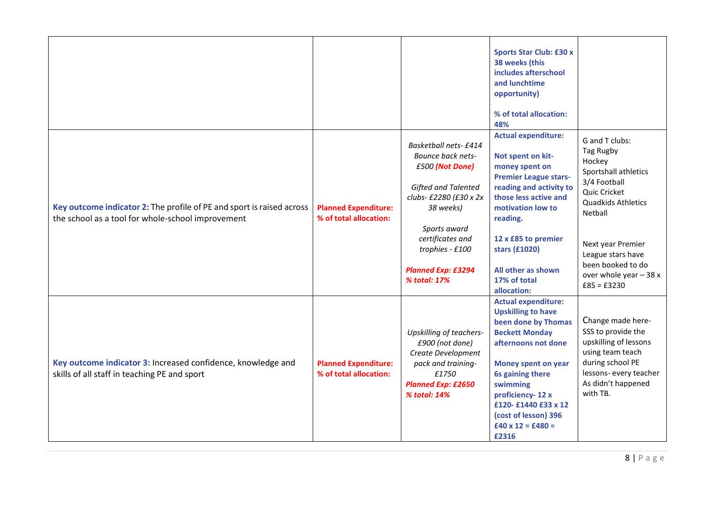|                                                                                                                            |                                                       |                                                                                                                                                                                                                                       | <b>Sports Star Club: £30 x</b><br>38 weeks (this<br>includes afterschool<br>and lunchtime<br>opportunity)<br>% of total allocation:<br>48%                                                                                                                                                           |                                                                                                                                                                                                                                          |
|----------------------------------------------------------------------------------------------------------------------------|-------------------------------------------------------|---------------------------------------------------------------------------------------------------------------------------------------------------------------------------------------------------------------------------------------|------------------------------------------------------------------------------------------------------------------------------------------------------------------------------------------------------------------------------------------------------------------------------------------------------|------------------------------------------------------------------------------------------------------------------------------------------------------------------------------------------------------------------------------------------|
| Key outcome indicator 2: The profile of PE and sport is raised across<br>the school as a tool for whole-school improvement | <b>Planned Expenditure:</b><br>% of total allocation: | <b>Basketball nets-£414</b><br>Bounce back nets-<br>£500 (Not Done)<br>Gifted and Talented<br>clubs- £2280 (£30 x 2x<br>38 weeks)<br>Sports award<br>certificates and<br>trophies - £100<br><b>Planned Exp: £3294</b><br>% total: 17% | <b>Actual expenditure:</b><br>Not spent on kit-<br>money spent on<br><b>Premier League stars-</b><br>reading and activity to<br>those less active and<br>motivation low to<br>reading.<br>12 x £85 to premier<br>stars (£1020)<br>All other as shown<br>17% of total<br>allocation:                  | G and T clubs:<br>Tag Rugby<br>Hockey<br>Sportshall athletics<br>3/4 Football<br>Quic Cricket<br>Quadkids Athletics<br>Netball<br>Next year Premier<br>League stars have<br>been booked to do<br>over whole year $-38x$<br>$£85 = £3230$ |
| Key outcome indicator 3: Increased confidence, knowledge and<br>skills of all staff in teaching PE and sport               | <b>Planned Expenditure:</b><br>% of total allocation: | Upskilling of teachers-<br>£900 (not done)<br>Create Development<br>pack and training-<br>£1750<br><b>Planned Exp: £2650</b><br>% total: 14%                                                                                          | <b>Actual expenditure:</b><br><b>Upskilling to have</b><br>been done by Thomas<br><b>Beckett Monday</b><br>afternoons not done<br><b>Money spent on year</b><br>6s gaining there<br>swimming<br>proficiency-12 x<br>£120-£1440 £33 x 12<br>(cost of lesson) 396<br>$£40 \times 12 = £480 =$<br>£2316 | Change made here-<br>SSS to provide the<br>upskilling of lessons<br>using team teach<br>during school PE<br>lessons- every teacher<br>As didn't happened<br>with TB.                                                                     |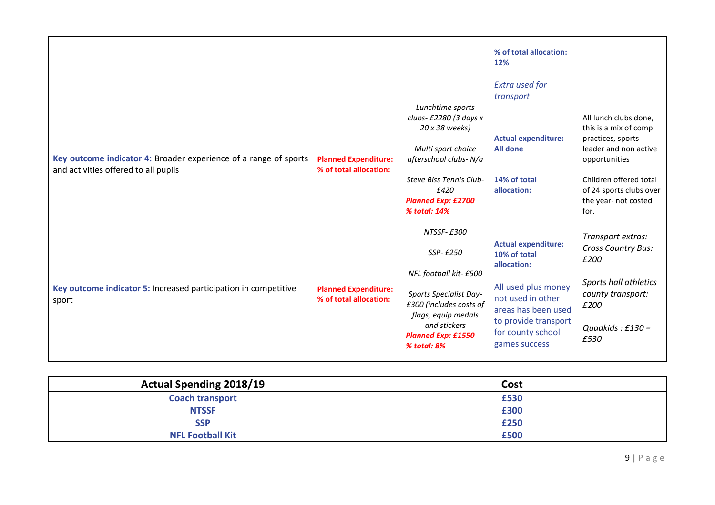|                                                                                                          |                                                       |                                                                                                                                                                                             | % of total allocation:<br>12%<br><b>Extra used for</b><br>transport                                                                                                                        |                                                                                                                                                                                                    |
|----------------------------------------------------------------------------------------------------------|-------------------------------------------------------|---------------------------------------------------------------------------------------------------------------------------------------------------------------------------------------------|--------------------------------------------------------------------------------------------------------------------------------------------------------------------------------------------|----------------------------------------------------------------------------------------------------------------------------------------------------------------------------------------------------|
| Key outcome indicator 4: Broader experience of a range of sports<br>and activities offered to all pupils | <b>Planned Expenditure:</b><br>% of total allocation: | Lunchtime sports<br>clubs- £2280 (3 days x<br>20 x 38 weeks)<br>Multi sport choice<br>afterschool clubs-N/a<br>Steve Biss Tennis Club-<br>£420<br><b>Planned Exp: £2700</b><br>% total: 14% | <b>Actual expenditure:</b><br><b>All done</b><br>14% of total<br>allocation:                                                                                                               | All lunch clubs done,<br>this is a mix of comp<br>practices, sports<br>leader and non active<br>opportunities<br>Children offered total<br>of 24 sports clubs over<br>the year- not costed<br>for. |
| Key outcome indicator 5: Increased participation in competitive<br>sport                                 | <b>Planned Expenditure:</b><br>% of total allocation: | NTSSF-£300<br>SSP-£250<br>NFL football kit- £500<br>Sports Specialist Day-<br>£300 (includes costs of<br>flags, equip medals<br>and stickers<br><b>Planned Exp: £1550</b><br>% total: 8%    | <b>Actual expenditure:</b><br>10% of total<br>allocation:<br>All used plus money<br>not used in other<br>areas has been used<br>to provide transport<br>for county school<br>games success | Transport extras:<br><b>Cross Country Bus:</b><br>£200<br>Sports hall athletics<br>county transport:<br>£200<br>Quadkids : $£130 =$<br>£530                                                        |

| <b>Actual Spending 2018/19</b> | Cost |
|--------------------------------|------|
| <b>Coach transport</b>         | £530 |
| <b>NTSSF</b>                   | £300 |
| <b>SSP</b>                     | £250 |
| <b>NFL Football Kit</b>        | £500 |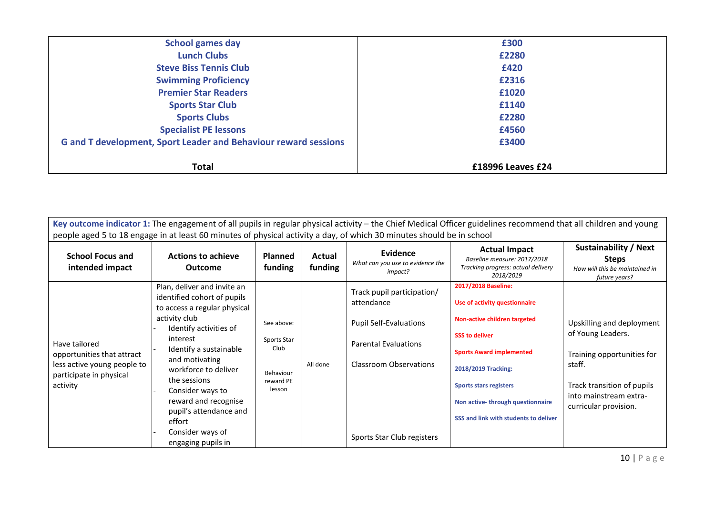| <b>School games day</b>                                                | £300              |
|------------------------------------------------------------------------|-------------------|
| <b>Lunch Clubs</b>                                                     | £2280             |
| <b>Steve Biss Tennis Club</b>                                          | £420              |
| <b>Swimming Proficiency</b>                                            | £2316             |
| <b>Premier Star Readers</b>                                            | £1020             |
| <b>Sports Star Club</b>                                                | £1140             |
| <b>Sports Clubs</b>                                                    | £2280             |
| <b>Specialist PE lessons</b>                                           | £4560             |
| <b>G and T development, Sport Leader and Behaviour reward sessions</b> | £3400             |
| <b>Total</b>                                                           | £18996 Leaves £24 |

| Key outcome indicator 1: The engagement of all pupils in regular physical activity – the Chief Medical Officer guidelines recommend that all children and young<br>people aged 5 to 18 engage in at least 60 minutes of physical activity a day, of which 30 minutes should be in school |                                                                                                                                                                                                                                                                                                                                                                 |                                                                       |                   |                                                                                                                                                                  |                                                                                                                                                                                                                                                                                       |                                                                                                                                                                         |  |
|------------------------------------------------------------------------------------------------------------------------------------------------------------------------------------------------------------------------------------------------------------------------------------------|-----------------------------------------------------------------------------------------------------------------------------------------------------------------------------------------------------------------------------------------------------------------------------------------------------------------------------------------------------------------|-----------------------------------------------------------------------|-------------------|------------------------------------------------------------------------------------------------------------------------------------------------------------------|---------------------------------------------------------------------------------------------------------------------------------------------------------------------------------------------------------------------------------------------------------------------------------------|-------------------------------------------------------------------------------------------------------------------------------------------------------------------------|--|
| <b>School Focus and</b><br>intended impact                                                                                                                                                                                                                                               | <b>Actions to achieve</b><br><b>Outcome</b>                                                                                                                                                                                                                                                                                                                     | <b>Planned</b><br>funding                                             | Actual<br>funding | Evidence<br>What can you use to evidence the<br>impact?                                                                                                          | <b>Actual Impact</b><br>Baseline measure: 2017/2018<br>Tracking progress: actual delivery<br>2018/2019                                                                                                                                                                                | <b>Sustainability / Next</b><br><b>Steps</b><br>How will this be maintained in<br>future years?                                                                         |  |
| Have tailored<br>opportunities that attract<br>less active young people to<br>participate in physical<br>activity                                                                                                                                                                        | Plan, deliver and invite an<br>identified cohort of pupils<br>to access a regular physical<br>activity club<br>Identify activities of<br>interest<br>Identify a sustainable<br>and motivating<br>workforce to deliver<br>the sessions<br>Consider ways to<br>reward and recognise<br>pupil's attendance and<br>effort<br>Consider ways of<br>engaging pupils in | See above:<br>Sports Star<br>Club<br>Behaviour<br>reward PE<br>lesson | All done          | Track pupil participation/<br>attendance<br><b>Pupil Self-Evaluations</b><br><b>Parental Evaluations</b><br>Classroom Observations<br>Sports Star Club registers | 2017/2018 Baseline:<br>Use of activity questionnaire<br>Non-active children targeted<br><b>SSS to deliver</b><br><b>Sports Award implemented</b><br>2018/2019 Tracking:<br><b>Sports stars registers</b><br>Non active-through questionnaire<br>SSS and link with students to deliver | Upskilling and deployment<br>of Young Leaders.<br>Training opportunities for<br>staff.<br>Track transition of pupils<br>into mainstream extra-<br>curricular provision. |  |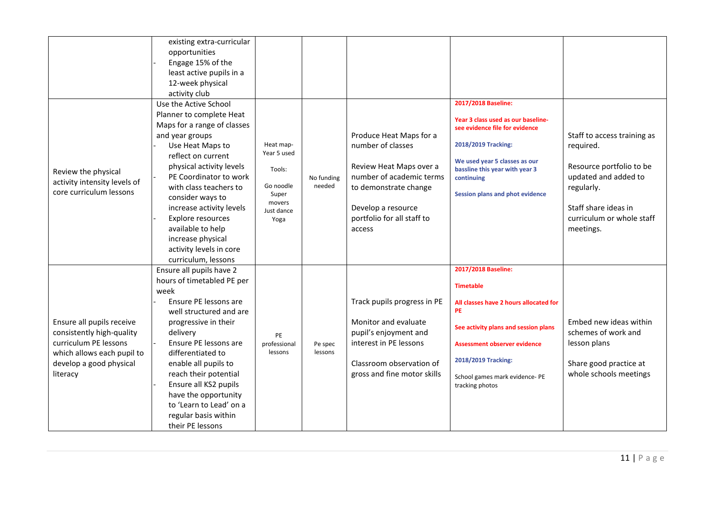|                                                                                                                                                      | existing extra-curricular<br>opportunities<br>Engage 15% of the<br>least active pupils in a<br>12-week physical<br>activity club                                                                                                                                                                                                                                                               |                                                                                          |                      |                                                                                                                                                                                            |                                                                                                                                                                                                                                                    |                                                                                                                                                                              |
|------------------------------------------------------------------------------------------------------------------------------------------------------|------------------------------------------------------------------------------------------------------------------------------------------------------------------------------------------------------------------------------------------------------------------------------------------------------------------------------------------------------------------------------------------------|------------------------------------------------------------------------------------------|----------------------|--------------------------------------------------------------------------------------------------------------------------------------------------------------------------------------------|----------------------------------------------------------------------------------------------------------------------------------------------------------------------------------------------------------------------------------------------------|------------------------------------------------------------------------------------------------------------------------------------------------------------------------------|
| Review the physical<br>activity intensity levels of<br>core curriculum lessons                                                                       | Use the Active School<br>Planner to complete Heat<br>Maps for a range of classes<br>and year groups<br>Use Heat Maps to<br>reflect on current<br>physical activity levels<br>PE Coordinator to work<br>with class teachers to<br>consider ways to<br>increase activity levels<br>Explore resources<br>available to help<br>increase physical<br>activity levels in core<br>curriculum, lessons | Heat map-<br>Year 5 used<br>Tools:<br>Go noodle<br>Super<br>movers<br>Just dance<br>Yoga | No funding<br>needed | Produce Heat Maps for a<br>number of classes<br>Review Heat Maps over a<br>number of academic terms<br>to demonstrate change<br>Develop a resource<br>portfolio for all staff to<br>access | 2017/2018 Baseline:<br>Year 3 class used as our baseline-<br>see evidence file for evidence<br>2018/2019 Tracking:<br>We used year 5 classes as our<br>bassline this year with year 3<br>continuing<br><b>Session plans and phot evidence</b>      | Staff to access training as<br>required.<br>Resource portfolio to be<br>updated and added to<br>regularly.<br>Staff share ideas in<br>curriculum or whole staff<br>meetings. |
| Ensure all pupils receive<br>consistently high-quality<br>curriculum PE lessons<br>which allows each pupil to<br>develop a good physical<br>literacy | Ensure all pupils have 2<br>hours of timetabled PE per<br>week<br>Ensure PE lessons are<br>well structured and are<br>progressive in their<br>delivery<br>Ensure PE lessons are<br>differentiated to<br>enable all pupils to<br>reach their potential<br>Ensure all KS2 pupils<br>have the opportunity<br>to 'Learn to Lead' on a<br>regular basis within<br>their PE lessons                  | PE<br>professional<br>lessons                                                            | Pe spec<br>lessons   | Track pupils progress in PE<br>Monitor and evaluate<br>pupil's enjoyment and<br>interest in PE lessons<br>Classroom observation of<br>gross and fine motor skills                          | 2017/2018 Baseline:<br><b>Timetable</b><br>All classes have 2 hours allocated for<br><b>PE</b><br>See activity plans and session plans<br>Assessment observer evidence<br>2018/2019 Tracking:<br>School games mark evidence- PE<br>tracking photos | Embed new ideas within<br>schemes of work and<br>lesson plans<br>Share good practice at<br>whole schools meetings                                                            |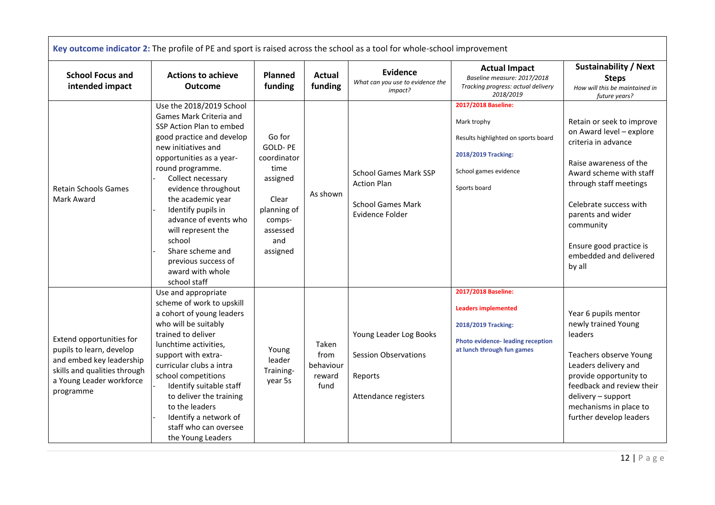|                                                                                                                                                           | Key outcome indicator 2: The profile of PE and sport is raised across the school as a tool for whole-school improvement                                                                                                                                                                                                                                                                                            |                                                                                                                       |                                              |                                                                                                   |                                                                                                                                                   |                                                                                                                                                                                                                                                                                        |
|-----------------------------------------------------------------------------------------------------------------------------------------------------------|--------------------------------------------------------------------------------------------------------------------------------------------------------------------------------------------------------------------------------------------------------------------------------------------------------------------------------------------------------------------------------------------------------------------|-----------------------------------------------------------------------------------------------------------------------|----------------------------------------------|---------------------------------------------------------------------------------------------------|---------------------------------------------------------------------------------------------------------------------------------------------------|----------------------------------------------------------------------------------------------------------------------------------------------------------------------------------------------------------------------------------------------------------------------------------------|
| <b>School Focus and</b><br>intended impact                                                                                                                | <b>Actions to achieve</b><br><b>Outcome</b>                                                                                                                                                                                                                                                                                                                                                                        | Planned<br>funding                                                                                                    | <b>Actual</b><br>funding                     | <b>Evidence</b><br>What can you use to evidence the<br>impact?                                    | <b>Actual Impact</b><br>Baseline measure: 2017/2018<br>Tracking progress: actual delivery<br>2018/2019                                            | <b>Sustainability / Next</b><br><b>Steps</b><br>How will this be maintained in<br>future years?                                                                                                                                                                                        |
| <b>Retain Schools Games</b><br>Mark Award                                                                                                                 | Use the 2018/2019 School<br>Games Mark Criteria and<br>SSP Action Plan to embed<br>good practice and develop<br>new initiatives and<br>opportunities as a year-<br>round programme.<br>Collect necessary<br>evidence throughout<br>the academic year<br>Identify pupils in<br>advance of events who<br>will represent the<br>school<br>Share scheme and<br>previous success of<br>award with whole<br>school staff | Go for<br>GOLD-PE<br>coordinator<br>time<br>assigned<br>Clear<br>planning of<br>comps-<br>assessed<br>and<br>assigned | As shown                                     | <b>School Games Mark SSP</b><br><b>Action Plan</b><br><b>School Games Mark</b><br>Evidence Folder | 2017/2018 Baseline:<br>Mark trophy<br>Results highlighted on sports board<br>2018/2019 Tracking:<br>School games evidence<br>Sports board         | Retain or seek to improve<br>on Award level - explore<br>criteria in advance<br>Raise awareness of the<br>Award scheme with staff<br>through staff meetings<br>Celebrate success with<br>parents and wider<br>community<br>Ensure good practice is<br>embedded and delivered<br>by all |
| Extend opportunities for<br>pupils to learn, develop<br>and embed key leadership<br>skills and qualities through<br>a Young Leader workforce<br>programme | Use and appropriate<br>scheme of work to upskill<br>a cohort of young leaders<br>who will be suitably<br>trained to deliver<br>lunchtime activities,<br>support with extra-<br>curricular clubs a intra<br>school competitions<br>Identify suitable staff<br>to deliver the training<br>to the leaders<br>Identify a network of<br>staff who can oversee<br>the Young Leaders                                      | Young<br>leader<br>Training-<br>year 5s                                                                               | Taken<br>from<br>behaviour<br>reward<br>fund | Young Leader Log Books<br><b>Session Observations</b><br>Reports<br>Attendance registers          | 2017/2018 Baseline:<br><b>Leaders implemented</b><br>2018/2019 Tracking:<br><b>Photo evidence-leading reception</b><br>at lunch through fun games | Year 6 pupils mentor<br>newly trained Young<br>leaders<br>Teachers observe Young<br>Leaders delivery and<br>provide opportunity to<br>feedback and review their<br>delivery - support<br>mechanisms in place to<br>further develop leaders                                             |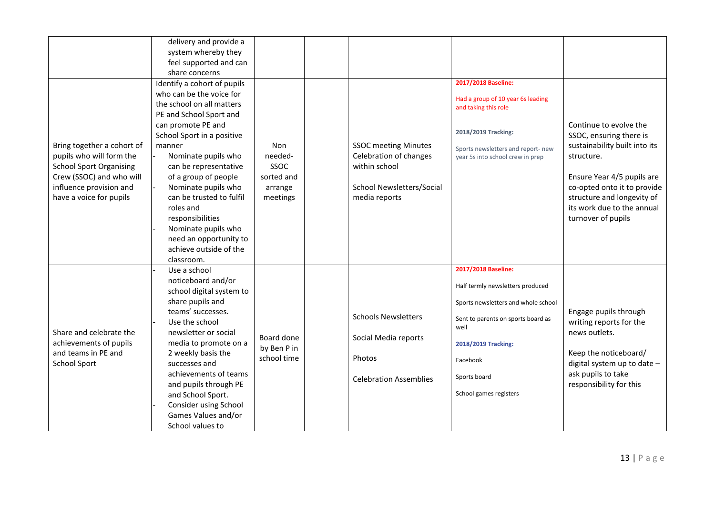|                                | delivery and provide a      |             |                               |                                                           |                               |
|--------------------------------|-----------------------------|-------------|-------------------------------|-----------------------------------------------------------|-------------------------------|
|                                | system whereby they         |             |                               |                                                           |                               |
|                                | feel supported and can      |             |                               |                                                           |                               |
|                                | share concerns              |             |                               |                                                           |                               |
|                                | Identify a cohort of pupils |             |                               | 2017/2018 Baseline:                                       |                               |
|                                | who can be the voice for    |             |                               |                                                           |                               |
|                                | the school on all matters   |             |                               | Had a group of 10 year 6s leading<br>and taking this role |                               |
|                                | PE and School Sport and     |             |                               |                                                           |                               |
|                                | can promote PE and          |             |                               |                                                           | Continue to evolve the        |
|                                | School Sport in a positive  |             |                               | 2018/2019 Tracking:                                       | SSOC, ensuring there is       |
| Bring together a cohort of     | manner                      | Non         | <b>SSOC</b> meeting Minutes   | Sports newsletters and report- new                        | sustainability built into its |
| pupils who will form the       | Nominate pupils who         | needed-     | Celebration of changes        | year 5s into school crew in prep                          | structure.                    |
| <b>School Sport Organising</b> | can be representative       | SSOC        | within school                 |                                                           |                               |
| Crew (SSOC) and who will       | of a group of people        | sorted and  |                               |                                                           | Ensure Year 4/5 pupils are    |
| influence provision and        | Nominate pupils who         | arrange     | School Newsletters/Social     |                                                           | co-opted onto it to provide   |
| have a voice for pupils        | can be trusted to fulfil    | meetings    | media reports                 |                                                           | structure and longevity of    |
|                                | roles and                   |             |                               |                                                           | its work due to the annual    |
|                                | responsibilities            |             |                               |                                                           | turnover of pupils            |
|                                | Nominate pupils who         |             |                               |                                                           |                               |
|                                | need an opportunity to      |             |                               |                                                           |                               |
|                                | achieve outside of the      |             |                               |                                                           |                               |
|                                | classroom.                  |             |                               |                                                           |                               |
|                                | Use a school                |             |                               | 2017/2018 Baseline:                                       |                               |
|                                | noticeboard and/or          |             |                               |                                                           |                               |
|                                | school digital system to    |             |                               | Half termly newsletters produced                          |                               |
|                                | share pupils and            |             |                               | Sports newsletters and whole school                       |                               |
|                                | teams' successes.           |             | <b>Schools Newsletters</b>    |                                                           | Engage pupils through         |
|                                | Use the school              |             |                               | Sent to parents on sports board as                        | writing reports for the       |
| Share and celebrate the        | newsletter or social        | Board done  |                               | well                                                      | news outlets.                 |
| achievements of pupils         | media to promote on a       | by Ben P in | Social Media reports          | 2018/2019 Tracking:                                       |                               |
| and teams in PE and            | 2 weekly basis the          | school time | Photos                        |                                                           | Keep the noticeboard/         |
| <b>School Sport</b>            | successes and               |             |                               | Facebook                                                  | digital system up to date -   |
|                                | achievements of teams       |             | <b>Celebration Assemblies</b> | Sports board                                              | ask pupils to take            |
|                                | and pupils through PE       |             |                               |                                                           | responsibility for this       |
|                                | and School Sport.           |             |                               | School games registers                                    |                               |
|                                | Consider using School       |             |                               |                                                           |                               |
|                                | Games Values and/or         |             |                               |                                                           |                               |
|                                | School values to            |             |                               |                                                           |                               |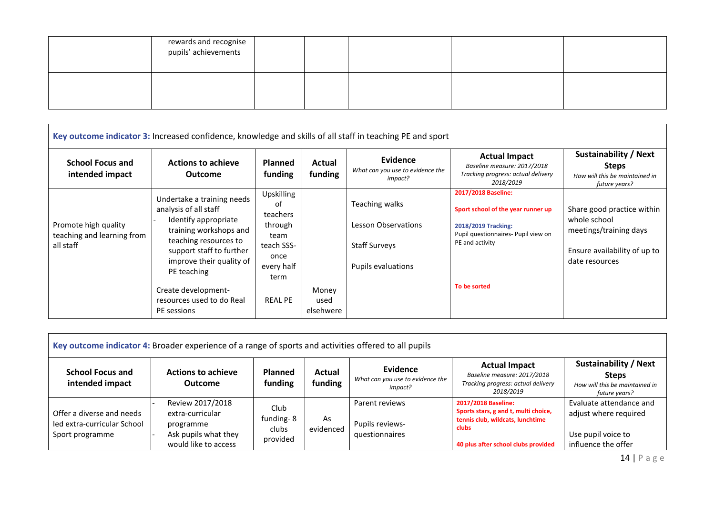| rewards and recognise<br>pupils' achievements |  |  |  |
|-----------------------------------------------|--|--|--|
|                                               |  |  |  |

|                                                                 | Key outcome indicator 3: Increased confidence, knowledge and skills of all staff in teaching PE and sport                                                                                             |                                                                                             |                            |                                                                                            |                                                                                                                                            |                                                                                                                        |
|-----------------------------------------------------------------|-------------------------------------------------------------------------------------------------------------------------------------------------------------------------------------------------------|---------------------------------------------------------------------------------------------|----------------------------|--------------------------------------------------------------------------------------------|--------------------------------------------------------------------------------------------------------------------------------------------|------------------------------------------------------------------------------------------------------------------------|
| <b>School Focus and</b><br>intended impact                      | <b>Actions to achieve</b><br><b>Outcome</b>                                                                                                                                                           | <b>Planned</b><br>funding                                                                   | Actual<br>funding          | Evidence<br>What can you use to evidence the<br>impact?                                    | <b>Actual Impact</b><br>Baseline measure: 2017/2018<br>Tracking progress: actual delivery<br>2018/2019                                     | <b>Sustainability / Next</b><br><b>Steps</b><br>How will this be maintained in<br>future years?                        |
| Promote high quality<br>teaching and learning from<br>all staff | Undertake a training needs<br>analysis of all staff<br>Identify appropriate<br>training workshops and<br>teaching resources to<br>support staff to further<br>improve their quality of<br>PE teaching | Upskilling<br>of<br>teachers<br>through<br>team<br>teach SSS-<br>once<br>every half<br>term |                            | Teaching walks<br><b>Lesson Observations</b><br><b>Staff Surveys</b><br>Pupils evaluations | 2017/2018 Baseline:<br>Sport school of the year runner up<br>2018/2019 Tracking:<br>Pupil questionnaires- Pupil view on<br>PE and activity | Share good practice within<br>whole school<br>meetings/training days<br>Ensure availability of up to<br>date resources |
|                                                                 | Create development-<br>resources used to do Real<br>PE sessions                                                                                                                                       | <b>REAL PE</b>                                                                              | Money<br>used<br>elsehwere |                                                                                            | To be sorted                                                                                                                               |                                                                                                                        |

|                                                                             | Key outcome indicator 4: Broader experience of a range of sports and activities offered to all pupils |                                        |                   |                                                         |                                                                                                                                                 |                                                                                                 |
|-----------------------------------------------------------------------------|-------------------------------------------------------------------------------------------------------|----------------------------------------|-------------------|---------------------------------------------------------|-------------------------------------------------------------------------------------------------------------------------------------------------|-------------------------------------------------------------------------------------------------|
| <b>School Focus and</b><br>intended impact                                  | <b>Actions to achieve</b><br><b>Outcome</b>                                                           | <b>Planned</b><br>funding              | Actual<br>funding | Evidence<br>What can you use to evidence the<br>impact? | <b>Actual Impact</b><br>Baseline measure: 2017/2018<br>Tracking progress: actual delivery<br>2018/2019                                          | <b>Sustainability / Next</b><br><b>Steps</b><br>How will this be maintained in<br>future years? |
| Offer a diverse and needs<br>led extra-curricular School<br>Sport programme | Review 2017/2018<br>extra-curricular<br>programme<br>Ask pupils what they<br>would like to access     | Club<br>funding-8<br>clubs<br>provided | As<br>evidenced   | Parent reviews<br>Pupils reviews-<br>questionnaires     | 2017/2018 Baseline:<br>Sports stars, g and t, multi choice,<br>tennis club, wildcats, lunchtime<br>clubs<br>40 plus after school clubs provided | Evaluate attendance and<br>adjust where required<br>Use pupil voice to<br>influence the offer   |

14 | P a g e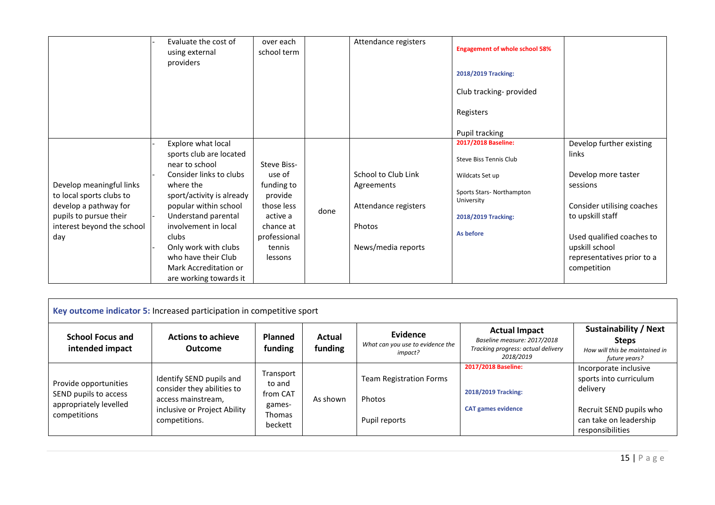|                                                                                                                                              | Evaluate the cost of<br>using external<br>providers                                                                                                                                                                                                                                                                     | over each<br>school term                                                                                                   |      | Attendance registers                                                                      | <b>Engagement of whole school 58%</b><br>2018/2019 Tracking:<br>Club tracking-provided<br>Registers<br>Pupil tracking                          |                                                                                                                                                                                                                    |
|----------------------------------------------------------------------------------------------------------------------------------------------|-------------------------------------------------------------------------------------------------------------------------------------------------------------------------------------------------------------------------------------------------------------------------------------------------------------------------|----------------------------------------------------------------------------------------------------------------------------|------|-------------------------------------------------------------------------------------------|------------------------------------------------------------------------------------------------------------------------------------------------|--------------------------------------------------------------------------------------------------------------------------------------------------------------------------------------------------------------------|
| Develop meaningful links<br>to local sports clubs to<br>develop a pathway for<br>pupils to pursue their<br>interest beyond the school<br>day | Explore what local<br>sports club are located<br>near to school<br>Consider links to clubs<br>where the<br>sport/activity is already<br>popular within school<br>Understand parental<br>involvement in local<br>clubs<br>Only work with clubs<br>who have their Club<br>Mark Accreditation or<br>are working towards it | Steve Biss-<br>use of<br>funding to<br>provide<br>those less<br>active a<br>chance at<br>professional<br>tennis<br>lessons | done | School to Club Link<br>Agreements<br>Attendance registers<br>Photos<br>News/media reports | 2017/2018 Baseline:<br>Steve Biss Tennis Club<br>Wildcats Set up<br>Sports Stars-Northampton<br>University<br>2018/2019 Tracking:<br>As before | Develop further existing<br>links<br>Develop more taster<br>sessions<br>Consider utilising coaches<br>to upskill staff<br>Used qualified coaches to<br>upskill school<br>representatives prior to a<br>competition |

|                                                                                          | Key outcome indicator 5: Increased participation in competitive sport                                                         |                                                                       |                   |                                                           |                                                                                                        |                                                                                                                                      |
|------------------------------------------------------------------------------------------|-------------------------------------------------------------------------------------------------------------------------------|-----------------------------------------------------------------------|-------------------|-----------------------------------------------------------|--------------------------------------------------------------------------------------------------------|--------------------------------------------------------------------------------------------------------------------------------------|
| <b>School Focus and</b><br>intended impact                                               | <b>Actions to achieve</b><br><b>Outcome</b>                                                                                   | <b>Planned</b><br>funding                                             | Actual<br>funding | Evidence<br>What can you use to evidence the<br>impact?   | <b>Actual Impact</b><br>Baseline measure: 2017/2018<br>Tracking progress: actual delivery<br>2018/2019 | <b>Sustainability / Next</b><br><b>Steps</b><br>How will this be maintained in<br>future years?                                      |
| Provide opportunities<br>SEND pupils to access<br>appropriately levelled<br>competitions | Identify SEND pupils and<br>consider they abilities to<br>access mainstream,<br>inclusive or Project Ability<br>competitions. | Transport<br>to and<br>from CAT<br>games-<br><b>Thomas</b><br>beckett | As shown          | <b>Team Registration Forms</b><br>Photos<br>Pupil reports | 2017/2018 Baseline:<br>2018/2019 Tracking:<br><b>CAT games evidence</b>                                | Incorporate inclusive<br>sports into curriculum<br>delivery<br>Recruit SEND pupils who<br>can take on leadership<br>responsibilities |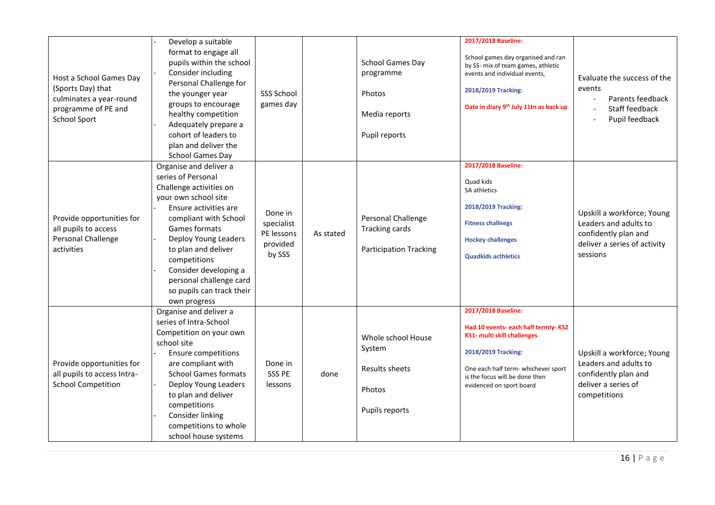| Host a School Games Day<br>(Sports Day) that<br>culminates a year-round<br>programme of PE and<br><b>School Sport</b> | Develop a suitable<br>format to engage all<br>pupils within the school<br>Consider including<br>Personal Challenge for<br>the younger year<br>groups to encourage<br>healthy competition<br>Adequately prepare a<br>cohort of leaders to<br>plan and deliver the<br><b>School Games Day</b>                                        | <b>SSS School</b><br>games day                            |           | <b>School Games Day</b><br>programme<br>Photos<br>Media reports<br>Pupil reports | 2017/2018 Baseline:<br>School games day organised and ran<br>by SS- mix of team games, athletic<br>events and individual events,<br>2018/2019 Tracking:<br>Date in diary 9th July 11tn as back up                            | Evaluate the success of the<br>events<br>Parents feedback<br>Staff feedback<br>Pupil feedback                           |
|-----------------------------------------------------------------------------------------------------------------------|------------------------------------------------------------------------------------------------------------------------------------------------------------------------------------------------------------------------------------------------------------------------------------------------------------------------------------|-----------------------------------------------------------|-----------|----------------------------------------------------------------------------------|------------------------------------------------------------------------------------------------------------------------------------------------------------------------------------------------------------------------------|-------------------------------------------------------------------------------------------------------------------------|
| Provide opportunities for<br>all pupils to access<br>Personal Challenge<br>activities                                 | Organise and deliver a<br>series of Personal<br>Challenge activities on<br>your own school site<br>Ensure activities are<br>compliant with School<br>Games formats<br>Deploy Young Leaders<br>to plan and deliver<br>competitions<br>Consider developing a<br>personal challenge card<br>so pupils can track their<br>own progress | Done in<br>specialist<br>PE lessons<br>provided<br>by SSS | As stated | Personal Challenge<br><b>Tracking cards</b><br><b>Participation Tracking</b>     | 2017/2018 Baseline:<br>Quad kids<br>SA athletics<br>2018/2019 Tracking:<br><b>Fitness challnegs</b><br><b>Hockey challenges</b><br><b>Quadkids acthletics</b>                                                                | Upskill a workforce; Young<br>Leaders and adults to<br>confidently plan and<br>deliver a series of activity<br>sessions |
| Provide opportunities for<br>all pupils to access Intra-<br><b>School Competition</b>                                 | Organise and deliver a<br>series of Intra-School<br>Competition on your own<br>school site<br><b>Ensure competitions</b><br>are compliant with<br><b>School Games formats</b><br>Deploy Young Leaders<br>to plan and deliver<br>competitions<br>Consider linking<br>competitions to whole<br>school house systems                  | Done in<br>SSS PE<br>lessons                              | done      | Whole school House<br>System<br>Results sheets<br>Photos<br>Pupils reports       | 2017/2018 Baseline:<br>Had 10 events- each half termly-KS2<br><b>KS1- multi skill challenges</b><br>2018/2019 Tracking:<br>One each half term- whichever sport<br>is the focus will be done then<br>evidenced on sport board | Upskill a workforce; Young<br>Leaders and adults to<br>confidently plan and<br>deliver a series of<br>competitions      |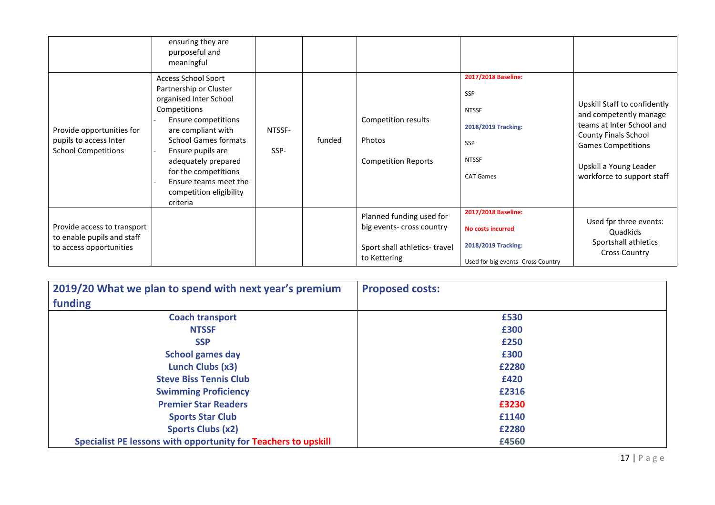|                                                                                      | ensuring they are<br>purposeful and<br>meaningful                                                                                                                                                                                                                                                              |                |        |                                                                                                       |                                                                                                                     |                                                                                                                                                                                                  |
|--------------------------------------------------------------------------------------|----------------------------------------------------------------------------------------------------------------------------------------------------------------------------------------------------------------------------------------------------------------------------------------------------------------|----------------|--------|-------------------------------------------------------------------------------------------------------|---------------------------------------------------------------------------------------------------------------------|--------------------------------------------------------------------------------------------------------------------------------------------------------------------------------------------------|
| Provide opportunities for<br>pupils to access Inter<br><b>School Competitions</b>    | <b>Access School Sport</b><br>Partnership or Cluster<br>organised Inter School<br>Competitions<br>Ensure competitions<br>are compliant with<br><b>School Games formats</b><br>Ensure pupils are<br>adequately prepared<br>for the competitions<br>Ensure teams meet the<br>competition eligibility<br>criteria | NTSSF-<br>SSP- | funded | Competition results<br>Photos<br><b>Competition Reports</b>                                           | 2017/2018 Baseline:<br><b>SSP</b><br><b>NTSSF</b><br>2018/2019 Tracking:<br>SSP<br><b>NTSSF</b><br><b>CAT Games</b> | Upskill Staff to confidently<br>and competently manage<br>teams at Inter School and<br>County Finals School<br><b>Games Competitions</b><br>Upskill a Young Leader<br>workforce to support staff |
| Provide access to transport<br>to enable pupils and staff<br>to access opportunities |                                                                                                                                                                                                                                                                                                                |                |        | Planned funding used for<br>big events- cross country<br>Sport shall athletics-travel<br>to Kettering | 2017/2018 Baseline:<br><b>No costs incurred</b><br>2018/2019 Tracking:<br>Used for big events- Cross Country        | Used fpr three events:<br>Quadkids<br>Sportshall athletics<br><b>Cross Country</b>                                                                                                               |

| 2019/20 What we plan to spend with next year's premium         | <b>Proposed costs:</b> |
|----------------------------------------------------------------|------------------------|
| funding                                                        |                        |
| <b>Coach transport</b>                                         | £530                   |
| <b>NTSSF</b>                                                   | £300                   |
| <b>SSP</b>                                                     | £250                   |
| <b>School games day</b>                                        | £300                   |
| Lunch Clubs (x3)                                               | £2280                  |
| <b>Steve Biss Tennis Club</b>                                  | £420                   |
| <b>Swimming Proficiency</b>                                    | £2316                  |
| <b>Premier Star Readers</b>                                    | £3230                  |
| <b>Sports Star Club</b>                                        | £1140                  |
| <b>Sports Clubs (x2)</b>                                       | £2280                  |
| Specialist PE lessons with opportunity for Teachers to upskill | £4560                  |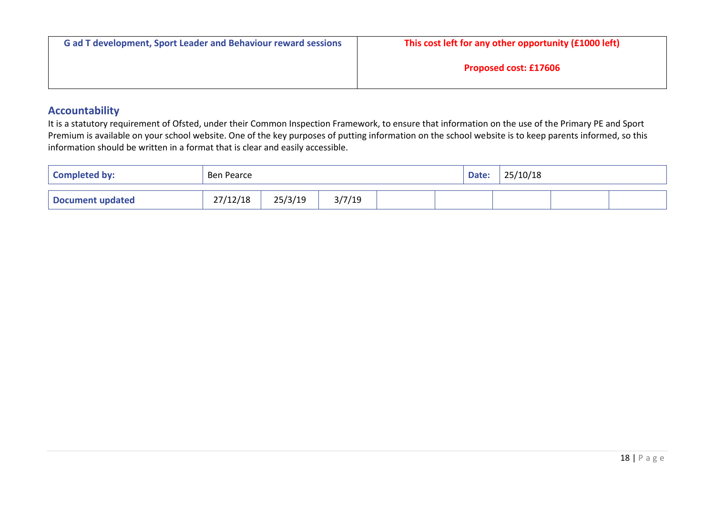| <b>Gad T development, Sport Leader and Behaviour reward sessions</b> | This cost left for any other opportunity (£1000 left) |
|----------------------------------------------------------------------|-------------------------------------------------------|
|                                                                      | <b>Proposed cost: £17606</b>                          |

### **Accountability**

It is a statutory requirement of Ofsted, under their Common Inspection Framework, to ensure that information on the use of the Primary PE and Sport Premium is available on your school website. One of the key purposes of putting information on the school website is to keep parents informed, so this information should be written in a format that is clear and easily accessible.

| <b>Completed by:</b>    | Ben Pearce |         |        |  |  | Date: | 25/10/18 |  |
|-------------------------|------------|---------|--------|--|--|-------|----------|--|
| <b>Document updated</b> | 27/12/18   | 25/3/19 | 3/7/19 |  |  |       |          |  |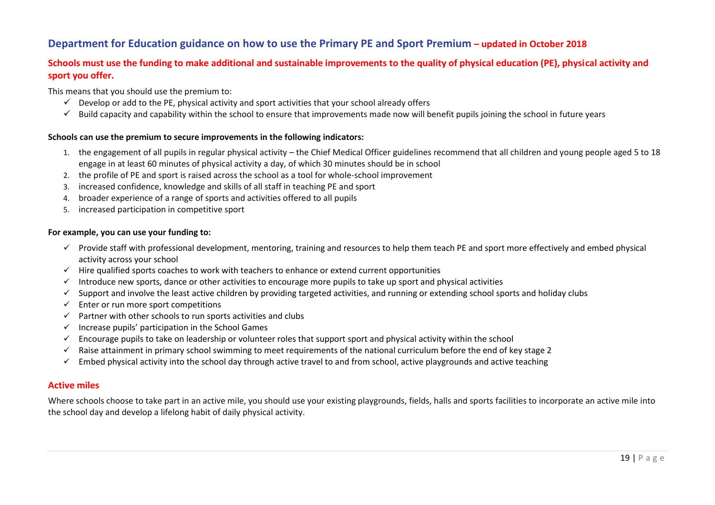# **Department for Education guidance on how to use the Primary PE and Sport Premium – updated in October 2018**

### **Schools must use the funding to make additional and sustainable improvements to the quality of physical education (PE), physical activity and sport you offer.**

This means that you should use the premium to:

- $\checkmark$  Develop or add to the PE, physical activity and sport activities that your school already offers
- $\checkmark$  Build capacity and capability within the school to ensure that improvements made now will benefit pupils joining the school in future years

#### **Schools can use the premium to secure improvements in the following indicators:**

- 1. the engagement of all pupils in regular physical activity the Chief Medical Officer guidelines recommend that all children and young people aged 5 to 18 engage in at least 60 minutes of physical activity a day, of which 30 minutes should be in school
- 2. the profile of PE and sport is raised across the school as a tool for whole-school improvement
- 3. increased confidence, knowledge and skills of all staff in teaching PE and sport
- 4. broader experience of a range of sports and activities offered to all pupils
- 5. increased participation in competitive sport

#### **For example, you can use your funding to:**

- $\checkmark$  Provide staff with professional development, mentoring, training and resources to help them teach PE and sport more effectively and embed physical activity across your school
- $\checkmark$  Hire qualified sports coaches to work with teachers to enhance or extend current opportunities
- Introduce new sports, dance or other activities to encourage more pupils to take up sport and physical activities
- $\checkmark$  Support and involve the least active children by providing targeted activities, and running or extending school sports and holiday clubs
- $\checkmark$  Enter or run more sport competitions
- $\checkmark$  Partner with other schools to run sports activities and clubs
- $\checkmark$  Increase pupils' participation in the School [Games](https://www.gov.uk/government/policies/getting-more-people-playing-sport/supporting-pages/the-school-games)
- $\checkmark$  Encourage pupils to take on leadership or volunteer roles that support sport and physical activity within the school
- $\checkmark$  Raise [attainment](https://www.gov.uk/guidance/pe-and-sport-premium-for-primary-schools#swimming) in primary school swimming to meet requirements of the national curriculum before the end of key stage 2
- $\checkmark$  Embed physical activity into the school day through active travel to and from school, active playgrounds and active teaching

#### **Active miles**

Where schools choose to take part in an active mile, you should use your existing playgrounds, fields, halls and sports facilities to incorporate an active mile into the school day and develop a lifelong habit of daily physical activity.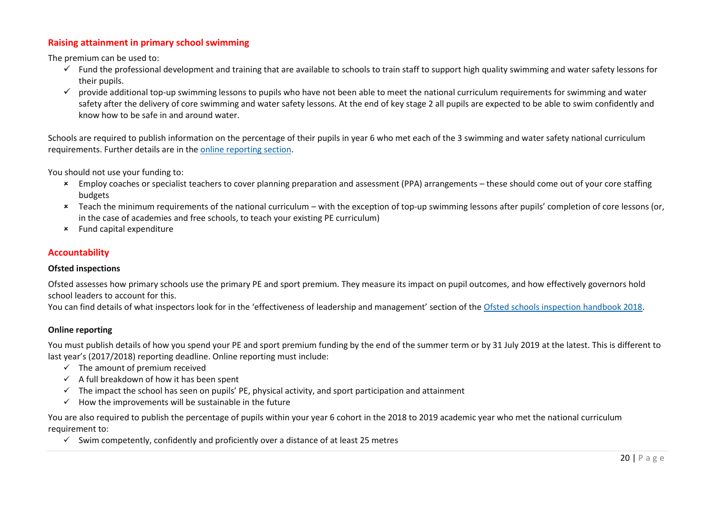### **Raising attainment in primary school swimming**

The premium can be used to:

- $\checkmark$  Fund the professional development and training that are available to schools to train staff to support high quality swimming and water safety lessons for their pupils.
- $\checkmark$  provide additional top-up swimming lessons to pupils who have not been able to meet the national curriculum requirements for swimming and water safety after the delivery of core swimming and water safety lessons. At the end of key stage 2 all pupils are expected to be able to swim confidently and know how to be safe in and around water.

Schools are required to publish information on the percentage of their pupils in year 6 who met each of the 3 swimming and water safety national curriculum requirements. Further details are in the online [reporting](https://www.gov.uk/guidance/pe-and-sport-premium-for-primary-schools#online-reporting) section.

You should not use your funding to:

- Employ coaches or specialist teachers to cover planning preparation and assessment (PPA) arrangements these should come out of your core staffing budgets
- Teach the minimum requirements of the national curriculum with the exception of top-up swimming lessons after pupils' completion of core lessons (or, in the case of academies and free schools, to teach your existing PE curriculum)
- Fund capital expenditure

#### **Accountability**

#### **Ofsted inspections**

Ofsted assesses how primary schools use the primary PE and sport premium. They measure its impact on pupil outcomes, and how effectively governors hold school leaders to account for this.

You can find details of what inspectors look for in the 'effectiveness of leadership and management' section of the Ofsted schools [inspection](https://www.gov.uk/government/publications/school-inspection-handbook-from-september-2015) handbook 2018.

### **Online reporting**

You must publish details of how you spend your PE and sport premium funding by the end of the summer term or by 31 July 2019 at the latest. This is different to last year's (2017/2018) reporting deadline. Online reporting must include:

- $\checkmark$  The amount of premium received
- $\checkmark$  A full breakdown of how it has been spent
- $\checkmark$  The impact the school has seen on pupils' PE, physical activity, and sport participation and attainment
- $\checkmark$  How the improvements will be sustainable in the future

You are also required to publish the percentage of pupils within your year 6 cohort in the 2018 to 2019 academic year who met the national curriculum requirement to:

 $\checkmark$  Swim competently, confidently and proficiently over a distance of at least 25 metres